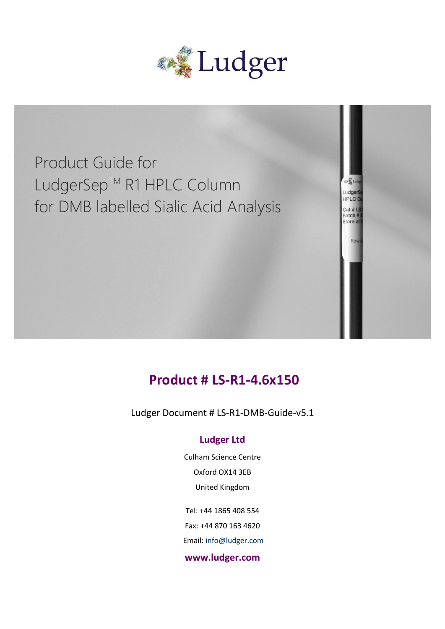

Product Guide for LudgerSep™ R1 HPLC Column for DMB labelled Sialic Acid Analysis

## **Product # LS-R1-4.6x150**

Batch Store

Ludger Document # LS-R1-DMB-Guide-v5.1

#### **Ludger Ltd**

Culham Science Centre Oxford OX14 3EB United Kingdom

Tel: +44 1865 408 554 Fax: +44 870 163 4620 Email: info@ludger.com **www.ludger.com**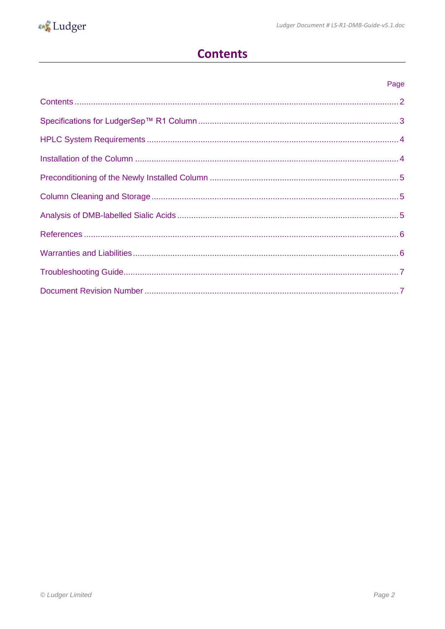<span id="page-1-0"></span>

### **Contents**

#### Page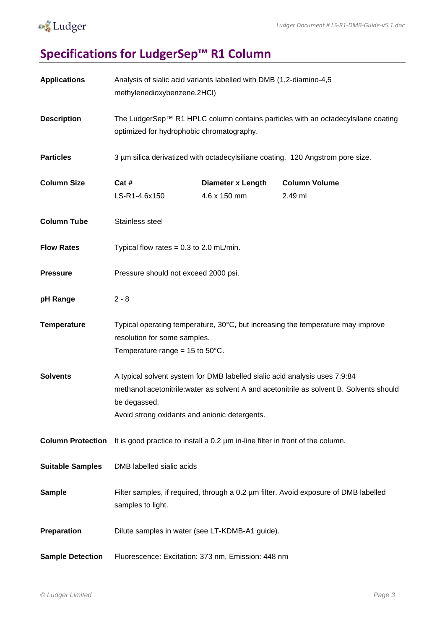## **o** Ludger

# <span id="page-2-0"></span>**Specifications for LudgerSep™ R1 Column**

| <b>Applications</b>      | Analysis of sialic acid variants labelled with DMB (1,2-diamino-4,5)<br>methylenedioxybenzene.2HCl)                                                                                                                                      |                                          |                                 |  |  |
|--------------------------|------------------------------------------------------------------------------------------------------------------------------------------------------------------------------------------------------------------------------------------|------------------------------------------|---------------------------------|--|--|
| <b>Description</b>       | The LudgerSep™ R1 HPLC column contains particles with an octadecylsilane coating<br>optimized for hydrophobic chromatography.                                                                                                            |                                          |                                 |  |  |
| <b>Particles</b>         | 3 µm silica derivatized with octadecylsiliane coating. 120 Angstrom pore size.                                                                                                                                                           |                                          |                                 |  |  |
| <b>Column Size</b>       | Cat #<br>LS-R1-4.6x150                                                                                                                                                                                                                   | <b>Diameter x Length</b><br>4.6 x 150 mm | <b>Column Volume</b><br>2.49 ml |  |  |
| <b>Column Tube</b>       | Stainless steel                                                                                                                                                                                                                          |                                          |                                 |  |  |
| <b>Flow Rates</b>        | Typical flow rates = $0.3$ to $2.0$ mL/min.                                                                                                                                                                                              |                                          |                                 |  |  |
| <b>Pressure</b>          | Pressure should not exceed 2000 psi.                                                                                                                                                                                                     |                                          |                                 |  |  |
| pH Range                 | $2 - 8$                                                                                                                                                                                                                                  |                                          |                                 |  |  |
| <b>Temperature</b>       | Typical operating temperature, 30°C, but increasing the temperature may improve<br>resolution for some samples.<br>Temperature range = $15$ to $50^{\circ}$ C.                                                                           |                                          |                                 |  |  |
| <b>Solvents</b>          | A typical solvent system for DMB labelled sialic acid analysis uses 7:9:84<br>methanol: acetonitrile: water as solvent A and acetonitrile as solvent B. Solvents should<br>be degassed.<br>Avoid strong oxidants and anionic detergents. |                                          |                                 |  |  |
| <b>Column Protection</b> | It is good practice to install a 0.2 um in-line filter in front of the column.                                                                                                                                                           |                                          |                                 |  |  |
| <b>Suitable Samples</b>  | DMB labelled sialic acids                                                                                                                                                                                                                |                                          |                                 |  |  |
| <b>Sample</b>            | Filter samples, if required, through a 0.2 um filter. Avoid exposure of DMB labelled<br>samples to light.                                                                                                                                |                                          |                                 |  |  |
| Preparation              | Dilute samples in water (see LT-KDMB-A1 guide).                                                                                                                                                                                          |                                          |                                 |  |  |
| <b>Sample Detection</b>  | Fluorescence: Excitation: 373 nm, Emission: 448 nm                                                                                                                                                                                       |                                          |                                 |  |  |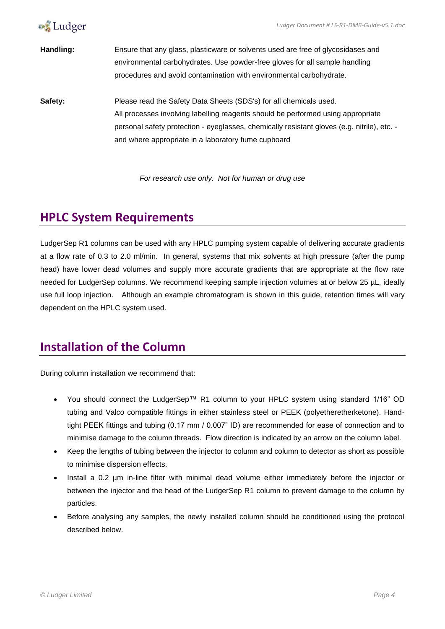



**Handling:** Ensure that any glass, plasticware or solvents used are free of glycosidases and environmental carbohydrates. Use powder-free gloves for all sample handling procedures and avoid contamination with environmental carbohydrate.

**Safety:** Please read the Safety Data Sheets (SDS's) for all chemicals used. All processes involving labelling reagents should be performed using appropriate personal safety protection - eyeglasses, chemically resistant gloves (e.g. nitrile), etc. and where appropriate in a laboratory fume cupboard

*For research use only. Not for human or drug use*

### <span id="page-3-0"></span>**HPLC System Requirements**

LudgerSep R1 columns can be used with any HPLC pumping system capable of delivering accurate gradients at a flow rate of 0.3 to 2.0 ml/min. In general, systems that mix solvents at high pressure (after the pump head) have lower dead volumes and supply more accurate gradients that are appropriate at the flow rate needed for LudgerSep columns. We recommend keeping sample injection volumes at or below 25 µL, ideally use full loop injection. Although an example chromatogram is shown in this guide, retention times will vary dependent on the HPLC system used.

## <span id="page-3-1"></span>**Installation of the Column**

During column installation we recommend that:

- You should connect the LudgerSep™ R1 column to your HPLC system using standard 1/16" OD tubing and Valco compatible fittings in either stainless steel or PEEK (polyetheretherketone). Handtight PEEK fittings and tubing (0.17 mm / 0.007" ID) are recommended for ease of connection and to minimise damage to the column threads. Flow direction is indicated by an arrow on the column label.
- Keep the lengths of tubing between the injector to column and column to detector as short as possible to minimise dispersion effects.
- Install a 0.2 µm in-line filter with minimal dead volume either immediately before the injector or between the injector and the head of the LudgerSep R1 column to prevent damage to the column by particles.
- Before analysing any samples, the newly installed column should be conditioned using the protocol described below.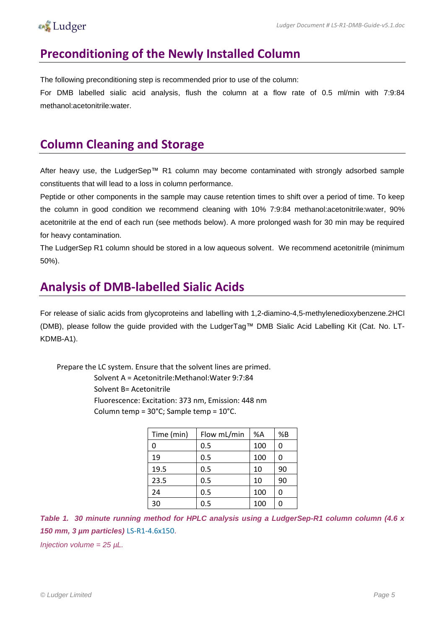#### **A** Ludger

### <span id="page-4-0"></span>**Preconditioning of the Newly Installed Column**

The following preconditioning step is recommended prior to use of the column:

For DMB labelled sialic acid analysis, flush the column at a flow rate of 0.5 ml/min with 7:9:84 methanol:acetonitrile:water.

### <span id="page-4-1"></span>**Column Cleaning and Storage**

After heavy use, the LudgerSep™ R1 column may become contaminated with strongly adsorbed sample constituents that will lead to a loss in column performance.

Peptide or other components in the sample may cause retention times to shift over a period of time. To keep the column in good condition we recommend cleaning with 10% 7:9:84 methanol:acetonitrile:water, 90% acetonitrile at the end of each run (see methods below). A more prolonged wash for 30 min may be required for heavy contamination.

The LudgerSep R1 column should be stored in a low aqueous solvent. We recommend acetonitrile (minimum 50%).

### <span id="page-4-2"></span>**Analysis of DMB-labelled Sialic Acids**

For release of sialic acids from glycoproteins and labelling with 1,2-diamino-4,5-methylenedioxybenzene.2HCl (DMB), please follow the guide provided with the LudgerTag™ DMB Sialic Acid Labelling Kit (Cat. No. LT-KDMB-A1).

Prepare the LC system. Ensure that the solvent lines are primed.

Solvent A = Acetonitrile:Methanol:Water 9:7:84 Solvent B= Acetonitrile Fluorescence: Excitation: 373 nm, Emission: 448 nm

Column temp = 30°C; Sample temp = 10°C.

| Time (min) | Flow mL/min | %A  | %B |
|------------|-------------|-----|----|
| 0          | 0.5         | 100 | 0  |
| 19         | 0.5         | 100 | 0  |
| 19.5       | 0.5         | 10  | 90 |
| 23.5       | 0.5         | 10  | 90 |
| 24         | 0.5         | 100 | 0  |
| 30         | 0.5         | 100 | 0  |

*Table 1. 30 minute running method for HPLC analysis using a LudgerSep-R1 column column (4.6 x 150 mm, 3 µm particles)* LS-R1-4.6x150.

*Injection volume = 25 µL.*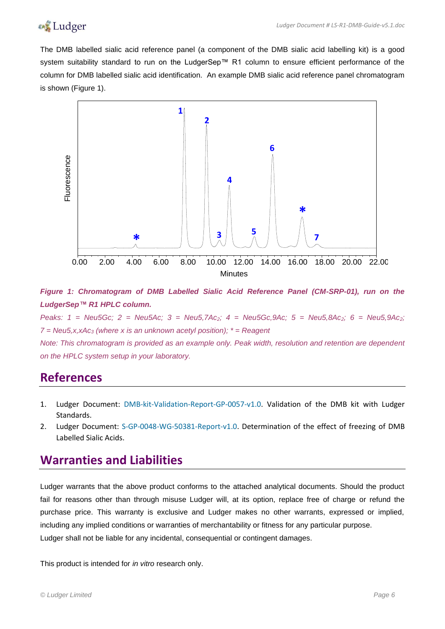

The DMB labelled sialic acid reference panel (a component of the DMB sialic acid labelling kit) is a good system suitability standard to run on the LudgerSep™ R1 column to ensure efficient performance of the column for DMB labelled sialic acid identification. An example DMB sialic acid reference panel chromatogram is shown (Figure 1).



*Figure 1: Chromatogram of DMB Labelled Sialic Acid Reference Panel (CM-SRP-01), run on the LudgerSep™ R1 HPLC column.*

*Peaks: 1 = Neu5Gc; 2 = Neu5Ac; 3 = Neu5,7Ac2; 4 = Neu5Gc,9Ac; 5 = Neu5,8Ac2; 6 = Neu5,9Ac2; 7 = Neu5,x,xAc<sup>3</sup> (where x is an unknown acetyl position); \* = Reagent*

*Note: This chromatogram is provided as an example only. Peak width, resolution and retention are dependent on the HPLC system setup in your laboratory.*

#### <span id="page-5-0"></span>**References**

- 1. Ludger Document: DMB-kit-Validation-Report-GP-0057-v1.0. Validation of the DMB kit with Ludger Standards.
- 2. Ludger Document: S-GP-0048-WG-50381-Report-v1.0. Determination of the effect of freezing of DMB Labelled Sialic Acids.

#### <span id="page-5-1"></span>**Warranties and Liabilities**

Ludger warrants that the above product conforms to the attached analytical documents. Should the product fail for reasons other than through misuse Ludger will, at its option, replace free of charge or refund the purchase price. This warranty is exclusive and Ludger makes no other warrants, expressed or implied, including any implied conditions or warranties of merchantability or fitness for any particular purpose. Ludger shall not be liable for any incidental, consequential or contingent damages.

This product is intended for *in vitro* research only.